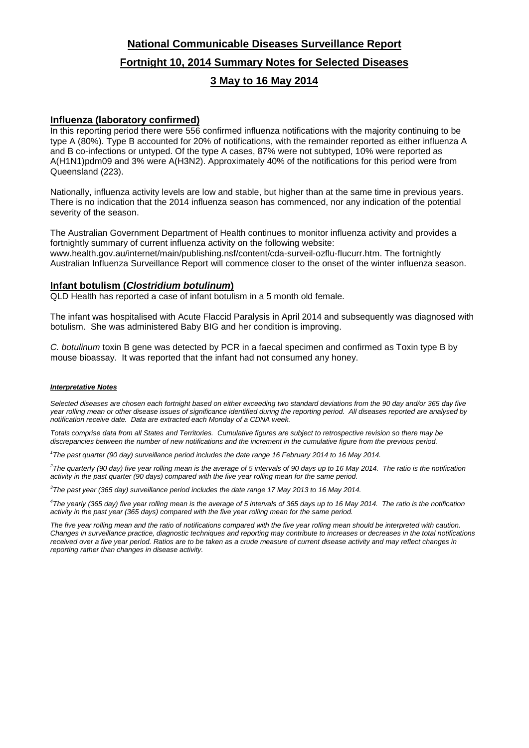# **National Communicable Diseases Surveillance Report Fortnight 10, 2014 Summary Notes for Selected Diseases 3 May to 16 May 2014**

## **Influenza (laboratory confirmed)**

In this reporting period there were 556 confirmed influenza notifications with the majority continuing to be type A (80%). Type B accounted for 20% of notifications, with the remainder reported as either influenza A and B co-infections or untyped. Of the type A cases, 87% were not subtyped, 10% were reported as A(H1N1)pdm09 and 3% were A(H3N2). Approximately 40% of the notifications for this period were from Queensland (223).

Nationally, influenza activity levels are low and stable, but higher than at the same time in previous years. There is no indication that the 2014 influenza season has commenced, nor any indication of the potential severity of the season.

The Australian Government Department of Health continues to monitor influenza activity and provides a fortnightly summary of current influenza activity on the following website:

www.health.gov.au/internet/main/publishing.nsf/content/cda-surveil-ozflu-flucurr.htm. The fortnightly Australian Influenza Surveillance Report will commence closer to the onset of the winter influenza season.

## **Infant botulism (***Clostridium botulinum***)**

QLD Health has reported a case of infant botulism in a 5 month old female.

The infant was hospitalised with Acute Flaccid Paralysis in April 2014 and subsequently was diagnosed with botulism. She was administered Baby BIG and her condition is improving.

*C. botulinum* toxin B gene was detected by PCR in a faecal specimen and confirmed as Toxin type B by mouse bioassay. It was reported that the infant had not consumed any honey.

### *Interpretative Notes*

*Selected diseases are chosen each fortnight based on either exceeding two standard deviations from the 90 day and/or 365 day five year rolling mean or other disease issues of significance identified during the reporting period. All diseases reported are analysed by notification receive date. Data are extracted each Monday of a CDNA week.*

*Totals comprise data from all States and Territories. Cumulative figures are subject to retrospective revision so there may be discrepancies between the number of new notifications and the increment in the cumulative figure from the previous period.*

*1 The past quarter (90 day) surveillance period includes the date range 16 February 2014 to 16 May 2014.* 

*2 The quarterly (90 day) five year rolling mean is the average of 5 intervals of 90 days up to 16 May 2014. The ratio is the notification activity in the past quarter (90 days) compared with the five year rolling mean for the same period.*

*3 The past year (365 day) surveillance period includes the date range 17 May 2013 to 16 May 2014.* 

*4 The yearly (365 day) five year rolling mean is the average of 5 intervals of 365 days up to 16 May 2014. The ratio is the notification activity in the past year (365 days) compared with the five year rolling mean for the same period.*

The five year rolling mean and the ratio of notifications compared with the five year rolling mean should be interpreted with caution. *Changes in surveillance practice, diagnostic techniques and reporting may contribute to increases or decreases in the total notifications received over a five year period. Ratios are to be taken as a crude measure of current disease activity and may reflect changes in reporting rather than changes in disease activity.*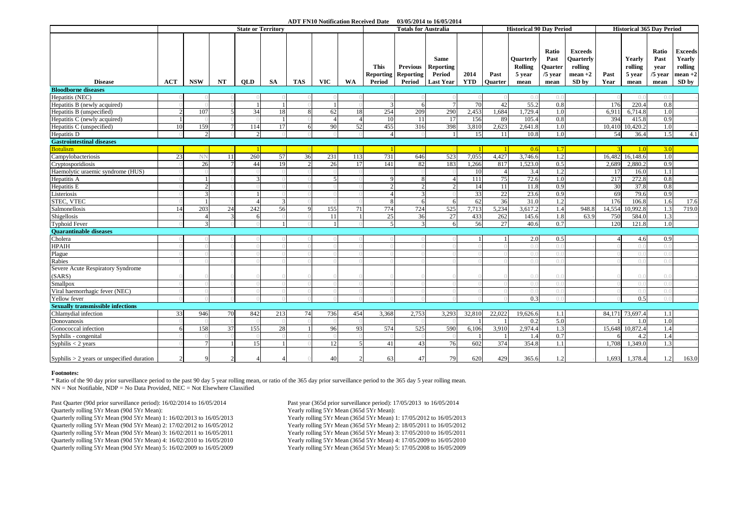#### **ADT FN10 Notification Received Date 03/05/2014 to 16/05/2014**

|                                              | <b>State or Territory</b> |                |    |               |     |            |            |     |                                           | <b>Totals for Australia</b>            | <b>Historical 90 Day Period</b>                               |                    |                        |                                        | <b>Historical 365 Day Period</b>              |                                                              |                |                                     |                                            |                                                           |
|----------------------------------------------|---------------------------|----------------|----|---------------|-----|------------|------------|-----|-------------------------------------------|----------------------------------------|---------------------------------------------------------------|--------------------|------------------------|----------------------------------------|-----------------------------------------------|--------------------------------------------------------------|----------------|-------------------------------------|--------------------------------------------|-----------------------------------------------------------|
| <b>Disease</b>                               | ACT                       | <b>NSW</b>     | NT | <b>OLD</b>    | SA. | <b>TAS</b> | <b>VIC</b> | WA  | <b>This</b><br><b>Reporting</b><br>Period | <b>Previous</b><br>Reporting<br>Period | <b>Same</b><br><b>Reporting</b><br>Period<br><b>Last Year</b> | 2014<br><b>YTD</b> | Past<br><b>Ouarter</b> | Quarterly<br>Rolling<br>5 year<br>mean | Ratio<br>Past<br>Quarter<br>$/5$ year<br>mean | <b>Exceeds</b><br>Quarterly<br>rolling<br>$mean +2$<br>SD by | Past<br>Year   | Yearly<br>rolling<br>5 year<br>mean | Ratio<br>Past<br>year<br>$/5$ year<br>mean | <b>Exceeds</b><br>Yearly<br>rolling<br>$mean +2$<br>SD by |
| <b>Bloodborne diseases</b>                   |                           |                |    |               |     |            |            |     |                                           |                                        |                                                               |                    |                        |                                        |                                               |                                                              |                |                                     |                                            |                                                           |
| Hepatitis (NEC)                              |                           |                |    |               |     |            |            |     |                                           |                                        |                                                               |                    |                        | $\bigcap$                              | $( )$ .                                       |                                                              |                | ( ) . ( )                           | $\bigcap$                                  |                                                           |
| Hepatitis B (newly acquired)                 |                           |                |    |               |     |            |            |     |                                           | 6                                      | $7\phantom{.0}$                                               | 70                 | 42                     | 55.2                                   | 0.8                                           |                                                              | 176            | 220.4                               | 0.8                                        |                                                           |
| Hepatitis B (unspecified)                    |                           | 107            |    | 34            | 18  |            | 62         | 18  | 254                                       | 209                                    | 290                                                           | 2,453              | 1,684                  | 1,729.4                                | 1.0                                           |                                                              | 6.911          | 6,714.8                             | 1.0                                        |                                                           |
| Hepatitis C (newly acquired)                 |                           |                |    |               |     |            |            |     | 10                                        | 11                                     | 17                                                            | 156                | -89                    | 105.4                                  | 0.8                                           |                                                              | 394            | 415.8                               | 0.9                                        |                                                           |
| Hepatitis C (unspecified)                    | 10                        | 159            |    | 114           | 17  |            | 90         | 52  | 455                                       | 316                                    | 398                                                           | 3,810              | 2,623                  | 2.641.8                                | 1.0                                           |                                                              | 10,410         | 10,420.2                            | 1.0                                        |                                                           |
| Hepatitis D                                  |                           | 2              |    | $\mathcal{D}$ |     |            |            |     |                                           |                                        |                                                               | 15                 | <sup>11</sup>          | 10.8                                   | 1.0                                           |                                                              | 54             | 36.4                                | 1.5                                        | 4.1                                                       |
| <b>Gastrointestinal diseases</b>             |                           |                |    |               |     |            |            |     |                                           |                                        |                                                               |                    |                        |                                        |                                               |                                                              |                |                                     |                                            |                                                           |
| <b>Botulism</b>                              |                           |                |    |               |     |            |            |     |                                           |                                        |                                                               |                    |                        | 0.6                                    | 1.7                                           |                                                              | $\overline{3}$ | 1.0                                 | 3.0                                        |                                                           |
| Campylobacteriosis                           | 23                        | NN             | 11 | 260           | 57  | 36         | 231        | 113 | 731                                       | 646                                    | 523                                                           | 7,055              | 4,427                  | 3,746.6                                | 1.2                                           |                                                              | 16,482         | 16,148.6                            | 1.0                                        |                                                           |
| Cryptosporidiosis                            |                           | 26             |    | 44            | 19  |            | 26         | 17  | 141                                       | 82                                     | 183                                                           | 1,266              | 817                    | 1.523.0                                | 0.5                                           |                                                              | 2,689          | 2.880.2                             | 0.9                                        |                                                           |
| Haemolytic uraemic syndrome (HUS)            |                           |                |    |               |     |            |            |     |                                           |                                        |                                                               | 10                 | $\Delta$               | 3.4                                    | 1.2                                           |                                                              | <sup>17</sup>  | 16.0                                | 1.1                                        |                                                           |
| Hepatitis A                                  |                           |                |    |               |     |            |            |     |                                           | 8                                      |                                                               | 111                | 75                     | 72.6                                   | 1.0                                           |                                                              | 217            | 272.8                               | 0.8                                        |                                                           |
| Hepatitis E                                  |                           |                |    |               |     |            |            |     |                                           |                                        |                                                               | 14                 | 11                     | 11.8                                   | 0.9                                           |                                                              | 30             | 37.8                                | 0.8                                        |                                                           |
| Listeriosis                                  |                           | $\mathcal{E}$  |    |               |     |            |            |     |                                           | $\mathcal{R}$                          |                                                               | 33                 | 22                     | 23.6                                   | 0.9                                           |                                                              | 69             | 79.6                                | 0.9                                        |                                                           |
| <b>STEC, VTEC</b>                            |                           |                |    |               |     |            |            |     |                                           | 6                                      | 6                                                             | 62                 | 36                     | 31.0                                   | 1.2                                           |                                                              | 176            | 106.8                               | 1.6                                        | 17.6                                                      |
| Salmonellosis                                | 14                        | 203            | 24 | 242           | 56  |            | 155        | 71  | 774                                       | 724                                    | 525                                                           | 7,713              | 5,234                  | 3,617.2                                | 1.4                                           | 948.8                                                        | 14,554         | 10,992.8                            | 1.3                                        | 719.0                                                     |
| Shigellosis                                  |                           | $\overline{4}$ |    | 6             |     |            | 11         |     | 25                                        | 36                                     | 27                                                            | 433                | 262                    | 145.6                                  | 1.8                                           | 63.9                                                         | 750            | 584.0                               | 1.3                                        |                                                           |
| <b>Typhoid Fever</b>                         |                           | $\mathcal{R}$  |    |               |     |            |            |     |                                           | $\overline{3}$                         | 6                                                             | 56                 | 27                     | 40.6                                   | 0.7                                           |                                                              | 120            | 121.8                               | 1.0                                        |                                                           |
| <b>Ouarantinable diseases</b>                |                           |                |    |               |     |            |            |     |                                           |                                        |                                                               |                    |                        |                                        |                                               |                                                              |                |                                     |                                            |                                                           |
| Cholera                                      |                           |                |    |               |     |            |            |     |                                           |                                        |                                                               |                    |                        | 2.0                                    | 0.5                                           |                                                              | Δ              | 4.6                                 | 0.9                                        |                                                           |
| <b>HPAIH</b>                                 |                           |                |    |               |     |            |            |     |                                           |                                        |                                                               |                    |                        | $\left( \right)$ .                     | 0.                                            |                                                              |                | $( )_{0}$                           | ( ) . ( )                                  |                                                           |
| Plague                                       |                           |                |    |               |     |            |            |     |                                           |                                        |                                                               |                    |                        | $\bigcap$                              | $\bigcap$                                     |                                                              |                | ()()                                |                                            |                                                           |
| Rabies                                       |                           |                |    |               |     |            |            |     |                                           |                                        |                                                               |                    |                        | $\bigcap$                              | $\Omega$ .                                    |                                                              |                | ( ) . ( )                           | ()                                         |                                                           |
| Severe Acute Respiratory Syndrome            |                           |                |    |               |     |            |            |     |                                           |                                        |                                                               |                    |                        |                                        |                                               |                                                              |                |                                     |                                            |                                                           |
| (SARS)                                       |                           |                |    |               |     |            |            |     |                                           |                                        |                                                               |                    |                        | ()                                     | $()$ .                                        |                                                              |                | ()                                  | ()()                                       |                                                           |
| Smallpox                                     |                           |                |    |               |     |            |            |     |                                           |                                        |                                                               |                    |                        | $\bigcap$                              | $( )$ .                                       |                                                              |                | $()$ .                              | ()()                                       |                                                           |
| Viral haemorrhagic fever (NEC)               |                           |                |    |               |     |            |            |     |                                           |                                        |                                                               |                    |                        | $\bigcap$                              | $\Omega$ .                                    |                                                              |                | 0.0                                 | $\Omega$                                   |                                                           |
| Yellow fever                                 |                           |                |    |               |     |            |            |     |                                           |                                        |                                                               |                    |                        | 0.3                                    | $\bigcirc$ .                                  |                                                              |                | 0.5                                 | ()()                                       |                                                           |
| <b>Sexually transmissible infections</b>     |                           |                |    |               |     |            |            |     |                                           |                                        |                                                               |                    |                        |                                        |                                               |                                                              |                |                                     |                                            |                                                           |
| Chlamydial infection                         | 33                        | 946            | 70 | 842           | 213 | 74         | 736        | 454 | 3,368                                     | 2,753                                  | 3,293                                                         | 32,810             | 22,022                 | 19,626.6                               | 1.1                                           |                                                              |                | 84,171 73,697.4                     | 1.1                                        |                                                           |
| Donovanosis                                  |                           |                |    |               |     |            |            |     |                                           |                                        |                                                               |                    |                        | 0.2                                    | 5.0                                           |                                                              |                | 1.0                                 | 1.0                                        |                                                           |
| Gonococcal infection                         | 6                         | 158            | 37 | 155           | 28  |            | 96         | 93  | 574                                       | 525                                    | 590                                                           | 6,106              | 3,910                  | 2,974.4                                | 1.3                                           |                                                              |                | 15,648 10,872.4                     | 1.4                                        |                                                           |
| Syphilis - congenital                        |                           |                |    |               |     |            |            |     |                                           |                                        |                                                               |                    |                        | 1.4                                    | 0.7                                           |                                                              | 6              | 4.2                                 | 1.4                                        |                                                           |
| Syphilis $<$ 2 years                         |                           | $\tau$         |    | 15            |     |            | 12         |     | 41                                        | 43                                     | 76                                                            | 602                | 374                    | 354.8                                  | 1.1                                           |                                                              | 1.708          | 1,349.0                             | 1.3                                        |                                                           |
| Syphilis $> 2$ years or unspecified duration | $\mathcal{P}$             | 9              |    |               |     |            | 40         |     | 63                                        | 47                                     | 79                                                            | 620                | 429                    | 365.6                                  | 1.2                                           |                                                              | 1.693          | 1,378.4                             | 1.2                                        | 163.0                                                     |

#### **Footnotes:**

\* Ratio of the 90 day prior surveillance period to the past 90 day 5 year rolling mean, or ratio of the 365 day prior surveillance period to the 365 day 5 year rolling mean. NN = Not Notifiable, NDP = No Data Provided, NEC = Not Elsewhere Classified

Past Quarter (90d prior surveillance period): 16/02/2014 to 16/05/2014 Past year (365d prior surveillance period): 17/05/2013 to 16/05/2014<br>
Past year (365d prior surveillance period): 17/05/2014<br>
Yearly rolling 5Yr Mean ( Quarterly rolling 5Yr Mean (90d 5Yr Mean): Quarterly rolling 5Yr Mean (90d 5Yr Mean) 1: 16/02/2013 to 16/05/2013 Yearly rolling 5Yr Mean (365d 5Yr Mean) 1: 17/05/2012 to 16/05/2013 Quarterly rolling 5Yr Mean (90d 5Yr Mean) 2: 17/02/2012 to 16/05/2012 Yearly rolling 5Yr Mean (365d 5Yr Mean) 2: 18/05/2011 to 16/05/2012 Quarterly rolling 5Yr Mean (90d 5Yr Mean) 3: 16/02/2011 to 16/05/2011 Yearly rolling 5Yr Mean (365d 5Yr Mean) 3: 17/05/2010 to 16/05/2011 Quarterly rolling 5Yr Mean (90d 5Yr Mean) 4: 16/02/2010 to 16/05/2010 Yearly rolling 5Yr Mean (365d 5Yr Mean) 4: 17/05/2009 to 16/05/2010 Quarterly rolling 5Yr Mean (90d 5Yr Mean) 5:  $16/02/2009$  to  $16/05/2009$